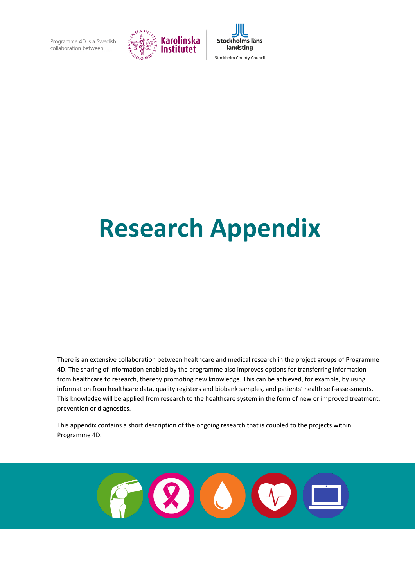



# **Research Appendix**

There is an extensive collaboration between healthcare and medical research in the project groups of Programme 4D. The sharing of information enabled by the programme also improves options for transferring information from healthcare to research, thereby promoting new knowledge. This can be achieved, for example, by using information from healthcare data, quality registers and biobank samples, and patients' health self-assessments. This knowledge will be applied from research to the healthcare system in the form of new or improved treatment, prevention or diagnostics.

This appendix contains a short description of the ongoing research that is coupled to the projects within Programme 4D.

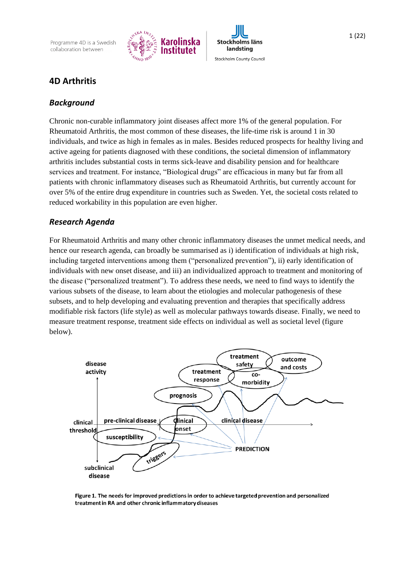Programme 4D is a Swedish collaboration between





# **4D Arthritis**

#### *Background*

Chronic non-curable inflammatory joint diseases affect more 1% of the general population. For Rheumatoid Arthritis, the most common of these diseases, the life-time risk is around 1 in 30 individuals, and twice as high in females as in males. Besides reduced prospects for healthy living and active ageing for patients diagnosed with these conditions, the societal dimension of inflammatory arthritis includes substantial costs in terms sick-leave and disability pension and for healthcare services and treatment. For instance, "Biological drugs" are efficacious in many but far from all patients with chronic inflammatory diseases such as Rheumatoid Arthritis, but currently account for over 5% of the entire drug expenditure in countries such as Sweden. Yet, the societal costs related to reduced workability in this population are even higher.

#### *Research Agenda*

For Rheumatoid Arthritis and many other chronic inflammatory diseases the unmet medical needs, and hence our research agenda, can broadly be summarised as i) identification of individuals at high risk, including targeted interventions among them ("personalized prevention"), ii) early identification of individuals with new onset disease, and iii) an individualized approach to treatment and monitoring of the disease ("personalized treatment"). To address these needs, we need to find ways to identify the various subsets of the disease, to learn about the etiologies and molecular pathogenesis of these subsets, and to help developing and evaluating prevention and therapies that specifically address modifiable risk factors (life style) as well as molecular pathways towards disease. Finally, we need to measure treatment response, treatment side effects on individual as well as societal level (figure below).



Figure 1. The needs for improved predictions in order to achieve targeted prevention and personalized treatment in RA and other chronic inflammatory diseases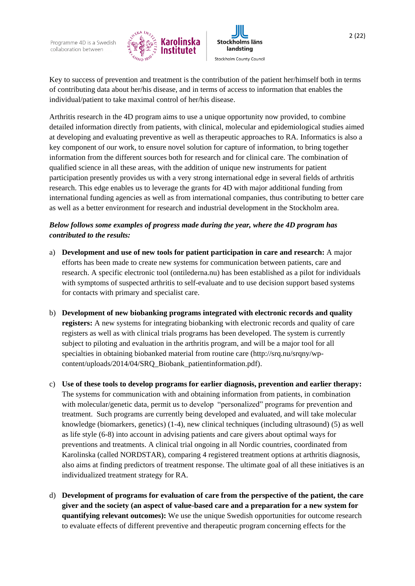



Key to success of prevention and treatment is the contribution of the patient her/himself both in terms of contributing data about her/his disease, and in terms of access to information that enables the individual/patient to take maximal control of her/his disease.

Arthritis research in the 4D program aims to use a unique opportunity now provided, to combine detailed information directly from patients, with clinical, molecular and epidemiological studies aimed at developing and evaluating preventive as well as therapeutic approaches to RA. Informatics is also a key component of our work, to ensure novel solution for capture of information, to bring together information from the different sources both for research and for clinical care. The combination of qualified science in all these areas, with the addition of unique new instruments for patient participation presently provides us with a very strong international edge in several fields of arthritis research. This edge enables us to leverage the grants for 4D with major additional funding from international funding agencies as well as from international companies, thus contributing to better care as well as a better environment for research and industrial development in the Stockholm area.

## *Below follows some examples of progress made during the year, where the 4D program has contributed to the results:*

- a) **Development and use of new tools for patient participation in care and research:** A major efforts has been made to create new systems for communication between patients, care and research. A specific electronic tool (ontilederna.nu) has been established as a pilot for individuals with symptoms of suspected arthritis to self-evaluate and to use decision support based systems for contacts with primary and specialist care.
- b) **Development of new biobanking programs integrated with electronic records and quality registers:** A new systems for integrating biobanking with electronic records and quality of care registers as well as with clinical trials programs has been developed. The system is currently subject to piloting and evaluation in the arthritis program, and will be a major tool for all specialties in obtaining biobanked material from routine care (http://srq.nu/srqny/wpcontent/uploads/2014/04/SRQ\_Biobank\_patientinformation.pdf).
- c) **Use of these tools to develop programs for earlier diagnosis, prevention and earlier therapy:** The systems for communication with and obtaining information from patients, in combination with molecular/genetic data, permit us to develop "personalized" programs for prevention and treatment. Such programs are currently being developed and evaluated, and will take molecular knowledge (biomarkers, genetics) (1-4), new clinical techniques (including ultrasound) [\(5\)](#page-11-0) as well as life style [\(6-8\)](#page-11-1) into account in advising patients and care givers about optimal ways for preventions and treatments. A clinical trial ongoing in all Nordic countries, coordinated from Karolinska (called NORDSTAR), comparing 4 registered treatment options at arthritis diagnosis, also aims at finding predictors of treatment response. The ultimate goal of all these initiatives is an individualized treatment strategy for RA.
- d) **Development of programs for evaluation of care from the perspective of the patient, the care giver and the society (an aspect of value-based care and a preparation for a new system for quantifying relevant outcomes):** We use the unique Swedish opportunities for outcome research to evaluate effects of different preventive and therapeutic program concerning effects for the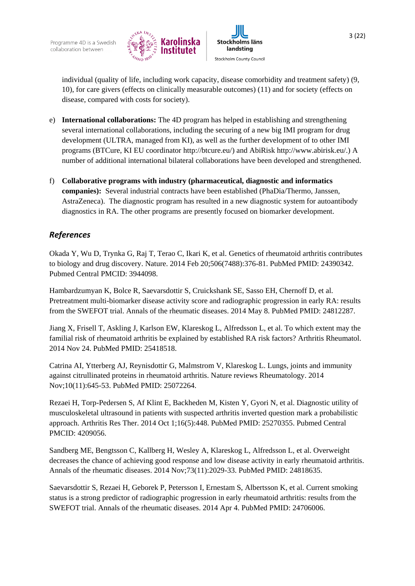



individual (quality of life, including work capacity, disease comorbidity and treatment safety) [\(9,](#page-11-2) [10\)](#page-11-3), for care givers (effects on clinically measurable outcomes) [\(11\)](#page-11-4) and for society (effects on disease, compared with costs for society).

- e) **International collaborations:** The 4D program has helped in establishing and strengthening several international collaborations, including the securing of a new big IMI program for drug development (ULTRA, managed from KI), as well as the further development of to other IMI programs (BTCure, KI EU coordinator http://btcure.eu/) and AbiRisk http://www.abirisk.eu/.) A number of additional international bilateral collaborations have been developed and strengthened.
- f) **Collaborative programs with industry (pharmaceutical, diagnostic and informatics companies):** Several industrial contracts have been established (PhaDia/Thermo, Janssen, AstraZeneca). The diagnostic program has resulted in a new diagnostic system for autoantibody diagnostics in RA. The other programs are presently focused on biomarker development.

# *References*

Okada Y, Wu D, Trynka G, Raj T, Terao C, Ikari K, et al. Genetics of rheumatoid arthritis contributes to biology and drug discovery. Nature. 2014 Feb 20;506(7488):376-81. PubMed PMID: 24390342. Pubmed Central PMCID: 3944098.

Hambardzumyan K, Bolce R, Saevarsdottir S, Cruickshank SE, Sasso EH, Chernoff D, et al. Pretreatment multi-biomarker disease activity score and radiographic progression in early RA: results from the SWEFOT trial. Annals of the rheumatic diseases. 2014 May 8. PubMed PMID: 24812287.

Jiang X, Frisell T, Askling J, Karlson EW, Klareskog L, Alfredsson L, et al. To which extent may the familial risk of rheumatoid arthritis be explained by established RA risk factors? Arthritis Rheumatol. 2014 Nov 24. PubMed PMID: 25418518.

Catrina AI, Ytterberg AJ, Reynisdottir G, Malmstrom V, Klareskog L. Lungs, joints and immunity against citrullinated proteins in rheumatoid arthritis. Nature reviews Rheumatology. 2014 Nov;10(11):645-53. PubMed PMID: 25072264.

Rezaei H, Torp-Pedersen S, Af Klint E, Backheden M, Kisten Y, Gyori N, et al. Diagnostic utility of musculoskeletal ultrasound in patients with suspected arthritis inverted question mark a probabilistic approach. Arthritis Res Ther. 2014 Oct 1;16(5):448. PubMed PMID: 25270355. Pubmed Central PMCID: 4209056.

Sandberg ME, Bengtsson C, Kallberg H, Wesley A, Klareskog L, Alfredsson L, et al. Overweight decreases the chance of achieving good response and low disease activity in early rheumatoid arthritis. Annals of the rheumatic diseases. 2014 Nov;73(11):2029-33. PubMed PMID: 24818635.

Saevarsdottir S, Rezaei H, Geborek P, Petersson I, Ernestam S, Albertsson K, et al. Current smoking status is a strong predictor of radiographic progression in early rheumatoid arthritis: results from the SWEFOT trial. Annals of the rheumatic diseases. 2014 Apr 4. PubMed PMID: 24706006.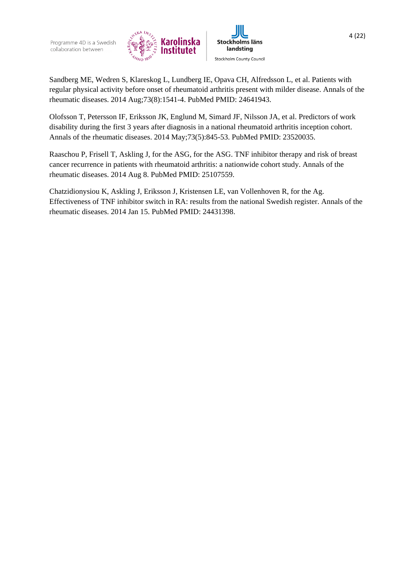

Sandberg ME, Wedren S, Klareskog L, Lundberg IE, Opava CH, Alfredsson L, et al. Patients with regular physical activity before onset of rheumatoid arthritis present with milder disease. Annals of the rheumatic diseases. 2014 Aug;73(8):1541-4. PubMed PMID: 24641943.

Olofsson T, Petersson IF, Eriksson JK, Englund M, Simard JF, Nilsson JA, et al. Predictors of work disability during the first 3 years after diagnosis in a national rheumatoid arthritis inception cohort. Annals of the rheumatic diseases. 2014 May;73(5):845-53. PubMed PMID: 23520035.

Raaschou P, Frisell T, Askling J, for the ASG, for the ASG. TNF inhibitor therapy and risk of breast cancer recurrence in patients with rheumatoid arthritis: a nationwide cohort study. Annals of the rheumatic diseases. 2014 Aug 8. PubMed PMID: 25107559.

Chatzidionysiou K, Askling J, Eriksson J, Kristensen LE, van Vollenhoven R, for the Ag. Effectiveness of TNF inhibitor switch in RA: results from the national Swedish register. Annals of the rheumatic diseases. 2014 Jan 15. PubMed PMID: 24431398.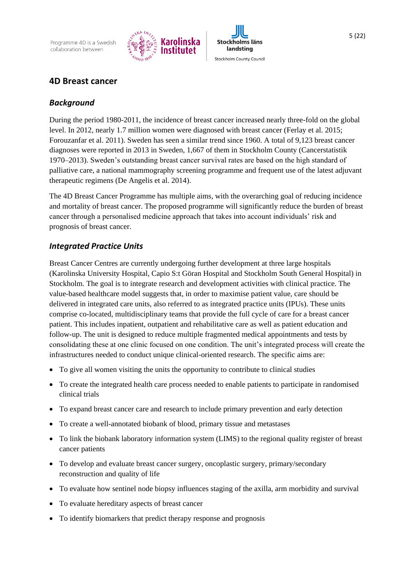Programme 4D is a Swedish collaboration between





# **4D Breast cancer**

#### *Background*

During the period 1980-2011, the incidence of breast cancer increased nearly three-fold on the global level. In 2012, nearly 1.7 million women were diagnosed with breast cancer [\(Ferlay et al. 2015;](#page-11-3) [Forouzanfar et al. 2011\)](#page-11-4). Sweden has seen a similar trend since 1960. A total of 9,123 breast cancer diagnoses were reported in 2013 in Sweden, 1,667 of them in Stockholm County (Cancerstatistik 1970–2013). Sweden's outstanding breast cancer survival rates are based on the high standard of palliative care, a national mammography screening programme and frequent use of the latest adjuvant therapeutic regimens [\(De Angelis et al. 2014\)](#page-11-0).

The 4D Breast Cancer Programme has multiple aims, with the overarching goal of reducing incidence and mortality of breast cancer. The proposed programme will significantly reduce the burden of breast cancer through a personalised medicine approach that takes into account individuals' risk and prognosis of breast cancer.

## *Integrated Practice Units*

Breast Cancer Centres are currently undergoing further development at three large hospitals (Karolinska University Hospital, Capio S:t Göran Hospital and Stockholm South General Hospital) in Stockholm. The goal is to integrate research and development activities with clinical practice. The value-based healthcare model suggests that, in order to maximise patient value, care should be delivered in integrated care units, also referred to as integrated practice units (IPUs). These units comprise co-located, multidisciplinary teams that provide the full cycle of care for a breast cancer patient. This includes inpatient, outpatient and rehabilitative care as well as patient education and follow-up. The unit is designed to reduce multiple fragmented medical appointments and tests by consolidating these at one clinic focused on one condition. The unit's integrated process will create the infrastructures needed to conduct unique clinical-oriented research. The specific aims are:

- To give all women visiting the units the opportunity to contribute to clinical studies
- To create the integrated health care process needed to enable patients to participate in randomised clinical trials
- To expand breast cancer care and research to include primary prevention and early detection
- To create a well-annotated biobank of blood, primary tissue and metastases
- To link the biobank laboratory information system (LIMS) to the regional quality register of breast cancer patients
- To develop and evaluate breast cancer surgery, oncoplastic surgery, primary/secondary reconstruction and quality of life
- To evaluate how sentinel node biopsy influences staging of the axilla, arm morbidity and survival
- To evaluate hereditary aspects of breast cancer
- To identify biomarkers that predict therapy response and prognosis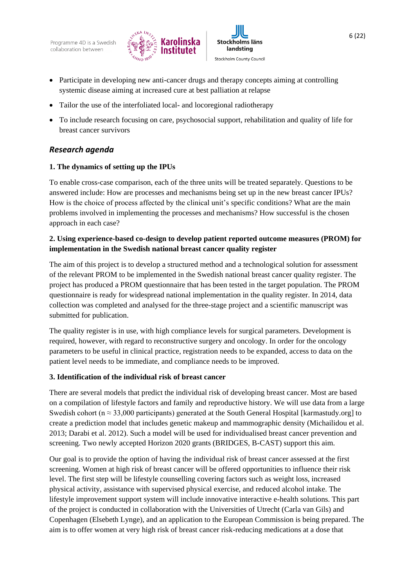



- Participate in developing new anti-cancer drugs and therapy concepts aiming at controlling systemic disease aiming at increased cure at best palliation at relapse
- Tailor the use of the interfoliated local- and locoregional radiotherapy
- To include research focusing on care, psychosocial support, rehabilitation and quality of life for breast cancer survivors

# *Research agenda*

#### **1. The dynamics of setting up the IPUs**

To enable cross-case comparison, each of the three units will be treated separately. Questions to be answered include: How are processes and mechanisms being set up in the new breast cancer IPUs? How is the choice of process affected by the clinical unit's specific conditions? What are the main problems involved in implementing the processes and mechanisms? How successful is the chosen approach in each case?

### **2. Using experience-based co-design to develop patient reported outcome measures (PROM) for implementation in the Swedish national breast cancer quality register**

The aim of this project is to develop a structured method and a technological solution for assessment of the relevant PROM to be implemented in the Swedish national breast cancer quality register. The project has produced a PROM questionnaire that has been tested in the target population. The PROM questionnaire is ready for widespread national implementation in the quality register. In 2014, data collection was completed and analysed for the three-stage project and a scientific manuscript was submitted for publication.

The quality register is in use, with high compliance levels for surgical parameters. Development is required, however, with regard to reconstructive surgery and oncology. In order for the oncology parameters to be useful in clinical practice, registration needs to be expanded, access to data on the patient level needs to be immediate, and compliance needs to be improved.

#### **3. Identification of the individual risk of breast cancer**

There are several models that predict the individual risk of developing breast cancer. Most are based on a compilation of lifestyle factors and family and reproductive history. We will use data from a large Swedish cohort ( $n \approx 33{,}000$  participants) generated at the South General Hospital [\[karmastudy.org\]](file:///C:/Documents%20and%20Settings/FKAR2254/Local%20Settings/Temporary%20Internet%20Files/Content.IE5/KGE8QTQ4/karmastudy.org) to create a prediction model that includes genetic makeup and mammographic density (Michailidou et al. 2013; Darabi et al. 2012). Such a model will be used for individualised breast cancer prevention and screening. Two newly accepted Horizon 2020 grants (BRIDGES, B-CAST) support this aim.

Our goal is to provide the option of having the individual risk of breast cancer assessed at the first screening. Women at high risk of breast cancer will be offered opportunities to influence their risk level. The first step will be lifestyle counselling covering factors such as weight loss, increased physical activity, assistance with supervised physical exercise, and reduced alcohol intake. The lifestyle improvement support system will include innovative interactive e-health solutions. This part of the project is conducted in collaboration with the Universities of Utrecht (Carla van Gils) and Copenhagen (Elsebeth Lynge), and an application to the European Commission is being prepared. The aim is to offer women at very high risk of breast cancer risk-reducing medications at a dose that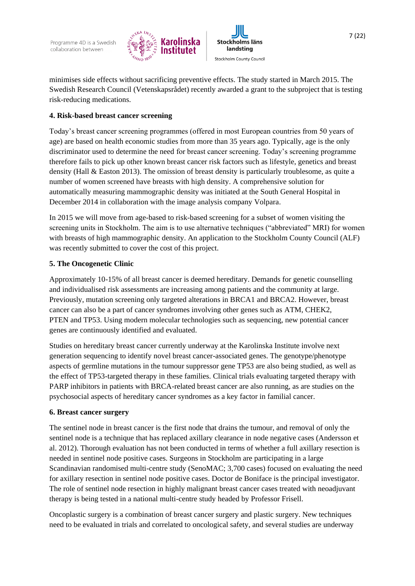



#### **4. Risk-based breast cancer screening**

Today's breast cancer screening programmes (offered in most European countries from 50 years of age) are based on health economic studies from more than 35 years ago. Typically, age is the only discriminator used to determine the need for breast cancer screening. Today's screening programme therefore fails to pick up other known breast cancer risk factors such as lifestyle, genetics and breast density (Hall & Easton 2013). The omission of breast density is particularly troublesome, as quite a number of women screened have breasts with high density. A comprehensive solution for automatically measuring mammographic density was initiated at the South General Hospital in December 2014 in collaboration with the image analysis company Volpara.

In 2015 we will move from age-based to risk-based screening for a subset of women visiting the screening units in Stockholm. The aim is to use alternative techniques ("abbreviated" MRI) for women with breasts of high mammographic density. An application to the Stockholm County Council (ALF) was recently submitted to cover the cost of this project.

#### **5. The Oncogenetic Clinic**

Approximately 10-15% of all breast cancer is deemed hereditary. Demands for genetic counselling and individualised risk assessments are increasing among patients and the community at large. Previously, mutation screening only targeted alterations in BRCA1 and BRCA2. However, breast cancer can also be a part of cancer syndromes involving other genes such as ATM, CHEK2, PTEN and TP53. Using modern molecular technologies such as sequencing, new potential cancer genes are continuously identified and evaluated.

Studies on hereditary breast cancer currently underway at the Karolinska Institute involve next generation sequencing to identify novel breast cancer-associated genes. The genotype/phenotype aspects of germline mutations in the tumour suppressor gene TP53 are also being studied, as well as the effect of TP53-targeted therapy in these families. Clinical trials evaluating targeted therapy with PARP inhibitors in patients with BRCA-related breast cancer are also running, as are studies on the psychosocial aspects of hereditary cancer syndromes as a key factor in familial cancer.

#### **6. Breast cancer surgery**

The sentinel node in breast cancer is the first node that drains the tumour, and removal of only the sentinel node is a technique that has replaced axillary clearance in node negative cases (Andersson et al. 2012). Thorough evaluation has not been conducted in terms of whether a full axillary resection is needed in sentinel node positive cases. Surgeons in Stockholm are participating in a large Scandinavian randomised multi-centre study (SenoMAC; 3,700 cases) focused on evaluating the need for axillary resection in sentinel node positive cases. Doctor de Boniface is the principal investigator. The role of sentinel node resection in highly malignant breast cancer cases treated with neoadjuvant therapy is being tested in a national multi-centre study headed by Professor Frisell.

Oncoplastic surgery is a combination of breast cancer surgery and plastic surgery. New techniques need to be evaluated in trials and correlated to oncological safety, and several studies are underway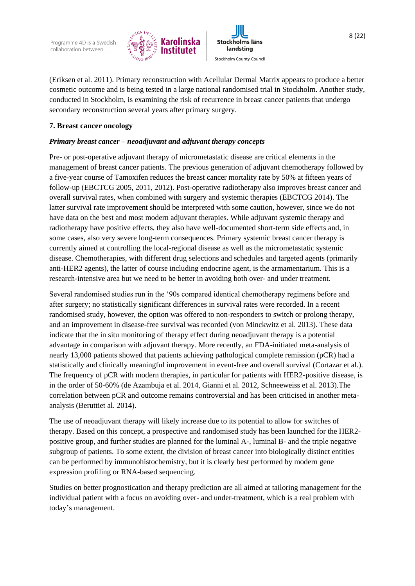

**Stockholms läns** landsting Stockholm County Council

8 (22)

(Eriksen et al. 2011). Primary reconstruction with Acellular Dermal Matrix appears to produce a better cosmetic outcome and is being tested in a large national randomised trial in Stockholm. Another study, conducted in Stockholm, is examining the risk of recurrence in breast cancer patients that undergo secondary reconstruction several years after primary surgery.

#### **7. Breast cancer oncology**

#### *Primary breast cancer – neoadjuvant and adjuvant therapy concepts*

Pre- or post-operative adjuvant therapy of micrometastatic disease are critical elements in the management of breast cancer patients. The previous generation of adjuvant chemotherapy followed by a five-year course of Tamoxifen reduces the breast cancer mortality rate by 50% at fifteen years of follow-up [\(EBCTCG 2005,](#page-11-5) [2011,](#page-11-6) [2012\)](#page-11-2). Post-operative radiotherapy also improves breast cancer and overall survival rates, when combined with surgery and systemic therapies (EBCTCG 2014). The latter survival rate improvement should be interpreted with some caution, however, since we do not have data on the best and most modern adjuvant therapies. While adjuvant systemic therapy and radiotherapy have positive effects, they also have well-documented short-term side effects and, in some cases, also very severe long-term consequences. Primary systemic breast cancer therapy is currently aimed at controlling the local-regional disease as well as the micrometastatic systemic disease. Chemotherapies, with different drug selections and schedules and targeted agents (primarily anti-HER2 agents), the latter of course including endocrine agent, is the armamentarium. This is a research-intensive area but we need to be better in avoiding both over- and under treatment.

Several randomised studies run in the '90s compared identical chemotherapy regimens before and after surgery; no statistically significant differences in survival rates were recorded. In a recent randomised study, however, the option was offered to non-responders to switch or prolong therapy, and an improvement in disease-free survival was recorded [\(von Minckwitz et al. 2013\)](#page-12-0). These data indicate that the in situ monitoring of therapy effect during neoadjuvant therapy is a potential advantage in comparison with adjuvant therapy. More recently, an FDA-initiated meta-analysis of nearly 13,000 patients showed that patients achieving pathological complete remission (pCR) had a statistically and clinically meaningful improvement in event-free and overall survival (Cortazar et al.). The frequency of pCR with modern therapies, in particular for patients with HER2-positive disease, is in the order of 50-60% [\(de Azambuja et al. 2014,](#page-11-1) [Gianni et al. 2012,](#page-12-1) [Schneeweiss](http://annonc.oxfordjournals.org/search?author1=A.+Schneeweiss&sortspec=date&submit=Submit) et al. 2013).The correlation between pCR and outcome remains controversial and has been criticised in another metaanalysis (Beruttiet al. 2014).

The use of neoadjuvant therapy will likely increase due to its potential to allow for switches of therapy. Based on this concept, a prospective and randomised study has been launched for the HER2 positive group, and further studies are planned for the luminal A-, luminal B- and the triple negative subgroup of patients. To some extent, the division of breast cancer into biologically distinct entities can be performed by immunohistochemistry, but it is clearly best performed by modern gene expression profiling or RNA-based sequencing.

Studies on better prognostication and therapy prediction are all aimed at tailoring management for the individual patient with a focus on avoiding over- and under-treatment, which is a real problem with today's management.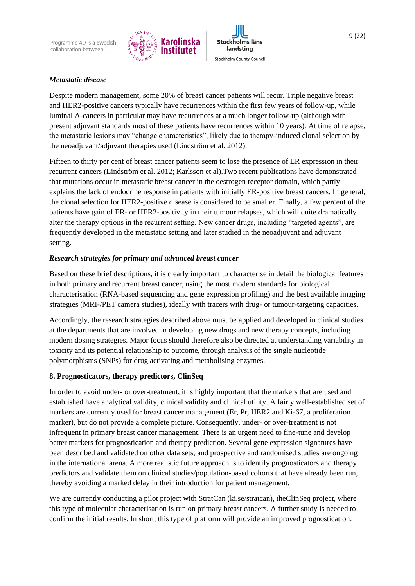



Despite modern management, some 20% of breast cancer patients will recur. Triple negative breast and HER2-positive cancers typically have recurrences within the first few years of follow-up, while luminal A-cancers in particular may have recurrences at a much longer follow-up (although with present adjuvant standards most of these patients have recurrences within 10 years). At time of relapse, the metastatic lesions may "change characteristics", likely due to therapy-induced clonal selection by the neoadjuvant/adjuvant therapies used (Lindström et al. 2012).

Fifteen to thirty per cent of breast cancer patients seem to lose the presence of ER expression in their recurrent cancers (Lindström et al. 2012; Karlsson et al).Two recent publications have demonstrated that mutations occur in metastatic breast cancer in the oestrogen receptor domain, which partly explains the lack of endocrine response in patients with initially ER-positive breast cancers. In general, the clonal selection for HER2-positive disease is considered to be smaller. Finally, a few percent of the patients have gain of ER- or HER2-positivity in their tumour relapses, which will quite dramatically alter the therapy options in the recurrent setting. New cancer drugs, including "targeted agents", are frequently developed in the metastatic setting and later studied in the neoadjuvant and adjuvant setting.

#### *Research strategies for primary and advanced breast cancer*

Based on these brief descriptions, it is clearly important to characterise in detail the biological features in both primary and recurrent breast cancer, using the most modern standards for biological characterisation (RNA-based sequencing and gene expression profiling) and the best available imaging strategies (MRI-/PET camera studies), ideally with tracers with drug- or tumour-targeting capacities.

Accordingly, the research strategies described above must be applied and developed in clinical studies at the departments that are involved in developing new drugs and new therapy concepts, including modern dosing strategies. Major focus should therefore also be directed at understanding variability in toxicity and its potential relationship to outcome, through analysis of the single nucleotide polymorphisms (SNPs) for drug activating and metabolising enzymes.

#### **8. Prognosticators, therapy predictors, ClinSeq**

In order to avoid under- or over-treatment, it is highly important that the markers that are used and established have analytical validity, clinical validity and clinical utility. A fairly well-established set of markers are currently used for breast cancer management (Er, Pr, HER2 and Ki-67, a proliferation marker), but do not provide a complete picture. Consequently, under- or over-treatment is not infrequent in primary breast cancer management. There is an urgent need to fine-tune and develop better markers for prognostication and therapy prediction. Several gene expression signatures have been described and validated on other data sets, and prospective and randomised studies are ongoing in the international arena. A more realistic future approach is to identify prognosticators and therapy predictors and validate them on clinical studies/population-based cohorts that have already been run, thereby avoiding a marked delay in their introduction for patient management.

We are currently conducting a pilot project with StratCan (ki.se/stratcan), theClinSeq project, where this type of molecular characterisation is run on primary breast cancers. A further study is needed to confirm the initial results. In short, this type of platform will provide an improved prognostication.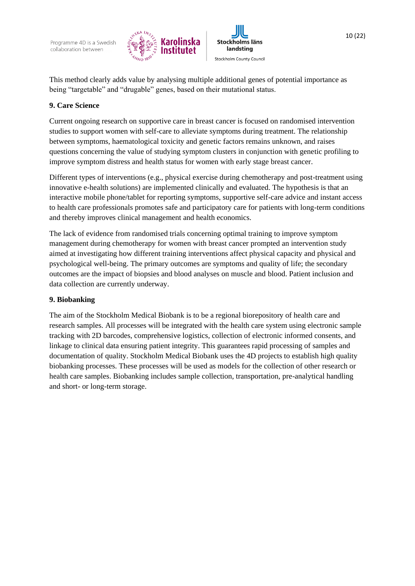



This method clearly adds value by analysing multiple additional genes of potential importance as being "targetable" and "drugable" genes, based on their mutational status.

#### **9. Care Science**

Current ongoing research on supportive care in breast cancer is focused on randomised intervention studies to support women with self-care to alleviate symptoms during treatment. The relationship between symptoms, haematological toxicity and genetic factors remains unknown, and raises questions concerning the value of studying symptom clusters in conjunction with genetic profiling to improve symptom distress and health status for women with early stage breast cancer.

Different types of interventions (e.g., physical exercise during chemotherapy and post-treatment using innovative e-health solutions) are implemented clinically and evaluated. The hypothesis is that an interactive mobile phone/tablet for reporting symptoms, supportive self-care advice and instant access to health care professionals promotes safe and participatory care for patients with long-term conditions and thereby improves clinical management and health economics.

The lack of evidence from randomised trials concerning optimal training to improve symptom management during chemotherapy for women with breast cancer prompted an intervention study aimed at investigating how different training interventions affect physical capacity and physical and psychological well-being. The primary outcomes are symptoms and quality of life; the secondary outcomes are the impact of biopsies and blood analyses on muscle and blood. Patient inclusion and data collection are currently underway.

#### **9. Biobanking**

The aim of the Stockholm Medical Biobank is to be a regional biorepository of health care and research samples. All processes will be integrated with the health care system using electronic sample tracking with 2D barcodes, comprehensive logistics, collection of electronic informed consents, and linkage to clinical data ensuring patient integrity. This guarantees rapid processing of samples and documentation of quality. Stockholm Medical Biobank uses the 4D projects to establish high quality biobanking processes. These processes will be used as models for the collection of other research or health care samples. Biobanking includes sample collection, transportation, pre-analytical handling and short- or long-term storage.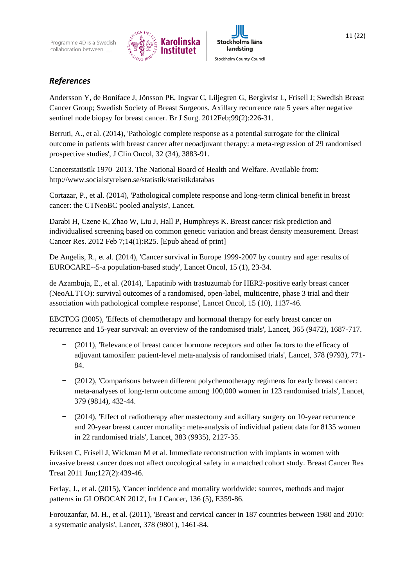



<span id="page-11-0"></span>Andersson Y, de Boniface J, Jönsson PE, Ingvar C, Liljegren G, Bergkvist L, Frisell J; Swedish Breast Cancer Group; Swedish Society of Breast Surgeons. [Axillary recurrence rate 5 years after negative](http://www.ncbi.nlm.nih.gov/pubmed/22180063)  [sentinel node biopsy for breast cancer.](http://www.ncbi.nlm.nih.gov/pubmed/22180063) Br J Surg. 2012Feb;99(2):226-31.

Berruti, A., et al. (2014), 'Pathologic complete response as a potential surrogate for the clinical outcome in patients with breast cancer after neoadjuvant therapy: a meta-regression of 29 randomised prospective studies', J Clin Oncol, 32 (34), 3883-91.

Cancerstatistik 1970–2013. The National Board of Health and Welfare. Available from: <http://www.socialstyrelsen.se/statistik/statistikdatabas>

Cortazar, P., et al. (2014), 'Pathological complete response and long-term clinical benefit in breast cancer: the CTNeoBC pooled analysis', Lancet.

Darabi H, Czene K, Zhao W, Liu J, Hall P, Humphreys K. Breast cancer risk prediction and individualised screening based on common genetic variation and breast density measurement. Breast Cancer Res. 2012 Feb 7;14(1):R25. [Epub ahead of print]

De Angelis, R., et al. (2014), 'Cancer survival in Europe 1999-2007 by country and age: results of EUROCARE--5-a population-based study', Lancet Oncol, 15 (1), 23-34.

<span id="page-11-1"></span>de Azambuja, E., et al. (2014), 'Lapatinib with trastuzumab for HER2-positive early breast cancer (NeoALTTO): survival outcomes of a randomised, open-label, multicentre, phase 3 trial and their association with pathological complete response', Lancet Oncol, 15 (10), 1137-46.

<span id="page-11-5"></span>EBCTCG (2005), 'Effects of chemotherapy and hormonal therapy for early breast cancer on recurrence and 15-year survival: an overview of the randomised trials', Lancet, 365 (9472), 1687-717.

- <span id="page-11-6"></span>− (2011), 'Relevance of breast cancer hormone receptors and other factors to the efficacy of adjuvant tamoxifen: patient-level meta-analysis of randomised trials', Lancet, 378 (9793), 771- 84.
- <span id="page-11-2"></span>− (2012), 'Comparisons between different polychemotherapy regimens for early breast cancer: meta-analyses of long-term outcome among 100,000 women in 123 randomised trials', Lancet, 379 (9814), 432-44.
- − (2014), 'Effect of radiotherapy after mastectomy and axillary surgery on 10-year recurrence and 20-year breast cancer mortality: meta-analysis of individual patient data for 8135 women in 22 randomised trials', Lancet, 383 (9935), 2127-35.

Eriksen C, Frisell J, Wickman M et al. Immediate reconstruction with implants in women with invasive breast cancer does not affect oncological safety in a matched cohort study. Breast Cancer Res Treat 2011 Jun;127(2):439-46.

<span id="page-11-3"></span>Ferlay, J., et al. (2015), 'Cancer incidence and mortality worldwide: sources, methods and major patterns in GLOBOCAN 2012', Int J Cancer, 136 (5), E359-86.

<span id="page-11-4"></span>Forouzanfar, M. H., et al. (2011), 'Breast and cervical cancer in 187 countries between 1980 and 2010: a systematic analysis', Lancet, 378 (9801), 1461-84.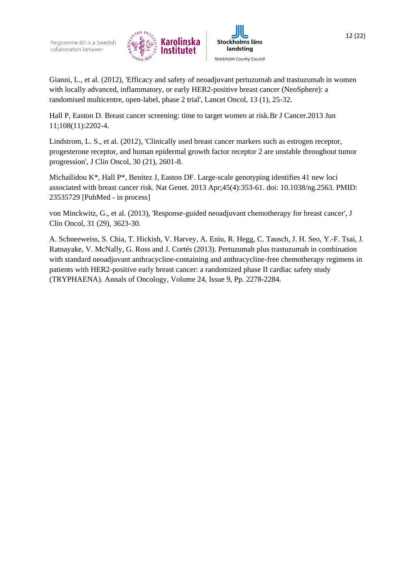



<span id="page-12-1"></span>Gianni, L., et al. (2012), 'Efficacy and safety of neoadjuvant pertuzumab and trastuzumab in women with locally advanced, inflammatory, or early HER2-positive breast cancer (NeoSphere): a randomised multicentre, open-label, phase 2 trial', Lancet Oncol, 13 (1), 25-32.

Hall P, Easton D. [Breast cancer screening: time to target women at risk.B](http://www.ncbi.nlm.nih.gov/pubmed/23744280)r J Cancer.2013 Jun 11;108(11):2202-4.

Lindstrom, L. S., et al. (2012), 'Clinically used breast cancer markers such as estrogen receptor, progesterone receptor, and human epidermal growth factor receptor 2 are unstable throughout tumor progression', J Clin Oncol, 30 (21), 2601-8.

Michailidou K\*, Hall P\*, Benitez J, Easton DF. [Large-scale genotyping identifies 41 new loci](http://www.ncbi.nlm.nih.gov/pubmed/23535729)  [associated with breast cancer risk.](http://www.ncbi.nlm.nih.gov/pubmed/23535729) Nat Genet. 2013 Apr;45(4):353-61. doi: 10.1038/ng.2563. PMID: 23535729 [PubMed - in process]

<span id="page-12-0"></span>von Minckwitz, G., et al. (2013), 'Response-guided neoadjuvant chemotherapy for breast cancer', J Clin Oncol, 31 (29), 3623-30.

[A. Schneeweiss,](http://annonc.oxfordjournals.org/search?author1=A.+Schneeweiss&sortspec=date&submit=Submit) [S. Chia,](http://annonc.oxfordjournals.org/search?author1=S.+Chia&sortspec=date&submit=Submit) [T. Hickish,](http://annonc.oxfordjournals.org/search?author1=T.+Hickish&sortspec=date&submit=Submit) [V. Harvey,](http://annonc.oxfordjournals.org/search?author1=V.+Harvey&sortspec=date&submit=Submit) [A. Eniu,](http://annonc.oxfordjournals.org/search?author1=A.+Eniu&sortspec=date&submit=Submit) [R. Hegg,](http://annonc.oxfordjournals.org/search?author1=R.+Hegg&sortspec=date&submit=Submit) [C. Tausch,](http://annonc.oxfordjournals.org/search?author1=C.+Tausch&sortspec=date&submit=Submit) [J. H. Seo,](http://annonc.oxfordjournals.org/search?author1=J.+H.+Seo&sortspec=date&submit=Submit) [Y.-F. Tsai,](http://annonc.oxfordjournals.org/search?author1=Y.-F.+Tsai&sortspec=date&submit=Submit) [J.](http://annonc.oxfordjournals.org/search?author1=J.+Ratnayake&sortspec=date&submit=Submit)  [Ratnayake,](http://annonc.oxfordjournals.org/search?author1=J.+Ratnayake&sortspec=date&submit=Submit) [V. McNally,](http://annonc.oxfordjournals.org/search?author1=V.+McNally&sortspec=date&submit=Submit) [G. Ross](http://annonc.oxfordjournals.org/search?author1=G.+Ross&sortspec=date&submit=Submit) and [J. Cortés](http://annonc.oxfordjournals.org/search?author1=J.+Cort%C3%A9s&sortspec=date&submit=Submit) (2013). Pertuzumab plus trastuzumab in combination with standard neoadjuvant anthracycline-containing and anthracycline-free chemotherapy regimens in patients with HER2-positive early breast cancer: a randomized phase II cardiac safety study (TRYPHAENA). [Annals of Oncology,](http://annonc.oxfordjournals.org/) [Volume 24,](http://annonc.oxfordjournals.org/content/24/9.toc) Issue 9, Pp. 2278-2284.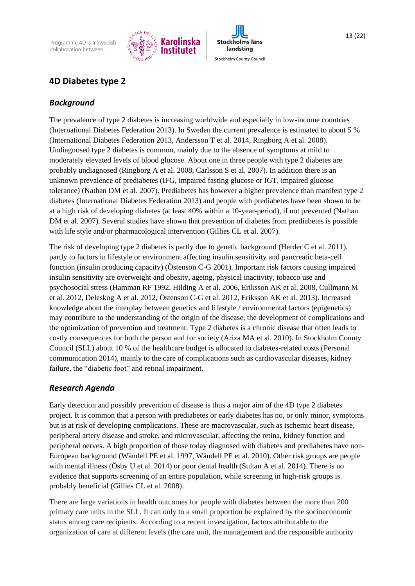Programme 4D is a Swedish collaboration between





# **4D Diabetes type 2**

## *Background*

The prevalence of type 2 diabetes is increasing worldwide and especially in low-income countries (International Diabetes Federation 2013). In Sweden the current prevalence is estimated to about 5 % (International Diabetes Federation 2013, Andersson T et al. 2014, Ringborg A et al. 2008). Undiagnosed type 2 diabetes is common, mainly due to the absence of symptoms at mild to moderately elevated levels of blood glucose. About one in three people with type 2 diabetes are probably undiagnosed (Ringborg A et al. 2008, Carlsson S et al. 2007). In addition there is an unknown prevalence of prediabetes (IFG, impaired fasting glucose or IGT, impaired glucose tolerance) (Nathan DM et al. 2007). Prediabetes has however a higher prevalence than manifest type 2 diabetes (International Diabetes Federation 2013) and people with prediabetes have been shown to be at a high risk of developing diabetes (at least 40% within a 10-year-period), if not prevented (Nathan DM et al. 2007). Several studies have shown that prevention of diabetes from prediabetes is possible with life style and/or pharmacological intervention (Gillies CL et al. 2007).

The risk of developing type 2 diabetes is partly due to genetic background (Herder C et al. 2011), partly to factors in lifestyle or environment affecting insulin sensitivity and pancreatic beta-cell function (insulin producing capacity) (Östenson C-G 2001). Important risk factors causing impaired insulin sensitivity are overweight and obesity, ageing, physical inactivity, tobacco use and psychosocial stress (Hamman RF 1992, Hilding A et al. 2006, Eriksson AK et al. 2008, Cullmann M et al. 2012, Deleskog A et al. 2012, Östenson C-G et al. 2012, Eriksson AK et al. 2013). Increased knowledge about the interplay between genetics and lifestyle / environmental factors (epigenetics) may contribute to the understanding of the origin of the disease, the development of complications and the optimization of prevention and treatment. Type 2 diabetes is a chronic disease that often leads to costly consequences for both the person and for society (Ariza MA et al. 2010). In Stockholm County Council (SLL) about 10 % of the healthcare budget is allocated to diabetes-related costs (Personal communication 2014), mainly to the care of complications such as cardiovascular diseases, kidney failure, the "diabetic foot" and retinal impairment.

# *Research Agenda*

Early detection and possibly prevention of disease is thus a major aim of the 4D type 2 diabetes project. It is common that a person with prediabetes or early diabetes has no, or only minor, symptoms but is at risk of developing complications. These are macrovascular, such as ischemic heart disease, peripheral artery disease and stroke, and microvascular, affecting the retina, kidney function and peripheral nerves. A high proportion of those today diagnosed with diabetes and prediabetes have non-European background (Wändell PE et al. 1997, Wändell PE et al. 2010). Other risk groups are people with mental illness (Ösby U et al. 2014) or poor dental health (Sultan A et al. 2014). There is no evidence that supports screening of an entire population, while screening in high-risk groups is probably beneficial (Gillies CL et al. 2008).

There are large variations in health outcomes for people with diabetes between the more than 200 primary care units in the SLL. It can only to a small proportion be explained by the socioeconomic status among care recipients. According to a recent investigation, factors attributable to the organization of care at different levels (the care unit, the management and the responsible authority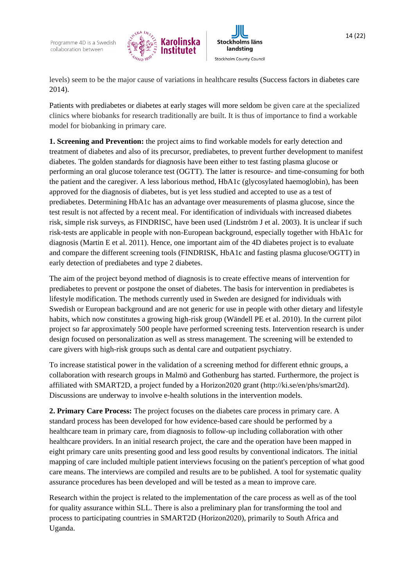

**Stockholms läns** landsting Stockholm County Council

levels) seem to be the major cause of variations in healthcare results (Success factors in diabetes care 2014).

Patients with prediabetes or diabetes at early stages will more seldom be given care at the specialized clinics where biobanks for research traditionally are built. It is thus of importance to find a workable model for biobanking in primary care.

**1. Screening and Prevention:** the project aims to find workable models for early detection and treatment of diabetes and also of its precursor, prediabetes, to prevent further development to manifest diabetes. The golden standards for diagnosis have been either to test fasting plasma glucose or performing an oral glucose tolerance test (OGTT). The latter is resource- and time-consuming for both the patient and the caregiver. A less laborious method, HbA1c (glycosylated haemoglobin), has been approved for the diagnosis of diabetes, but is yet less studied and accepted to use as a test of prediabetes. Determining HbA1c has an advantage over measurements of plasma glucose, since the test result is not affected by a recent meal. For identification of individuals with increased diabetes risk, simple risk surveys, as FINDRISC, have been used (Lindström J et al. 2003). It is unclear if such risk-tests are applicable in people with non-European background, especially together with HbA1c for diagnosis (Martin E et al. 2011). Hence, one important aim of the 4D diabetes project is to evaluate and compare the different screening tools (FINDRISK, HbA1c and fasting plasma glucose/OGTT) in early detection of prediabetes and type 2 diabetes.

The aim of the project beyond method of diagnosis is to create effective means of intervention for prediabetes to prevent or postpone the onset of diabetes. The basis for intervention in prediabetes is lifestyle modification. The methods currently used in Sweden are designed for individuals with Swedish or European background and are not generic for use in people with other dietary and lifestyle habits, which now constitutes a growing high-risk group (Wändell PE et al. 2010). In the current pilot project so far approximately 500 people have performed screening tests. Intervention research is under design focused on personalization as well as stress management. The screening will be extended to care givers with high-risk groups such as dental care and outpatient psychiatry.

To increase statistical power in the validation of a screening method for different ethnic groups, a collaboration with research groups in Malmö and Gothenburg has started. Furthermore, the project is affiliated with SMART2D, a project funded by a Horizon2020 grant (http://ki.se/en/phs/smart2d). Discussions are underway to involve e-health solutions in the intervention models.

**2. Primary Care Process:** The project focuses on the diabetes care process in primary care. A standard process has been developed for how evidence-based care should be performed by a healthcare team in primary care, from diagnosis to follow-up including collaboration with other healthcare providers. In an initial research project, the care and the operation have been mapped in eight primary care units presenting good and less good results by conventional indicators. The initial mapping of care included multiple patient interviews focusing on the patient's perception of what good care means. The interviews are compiled and results are to be published. A tool for systematic quality assurance procedures has been developed and will be tested as a mean to improve care.

Research within the project is related to the implementation of the care process as well as of the tool for quality assurance within SLL. There is also a preliminary plan for transforming the tool and process to participating countries in SMART2D (Horizon2020), primarily to South Africa and Uganda.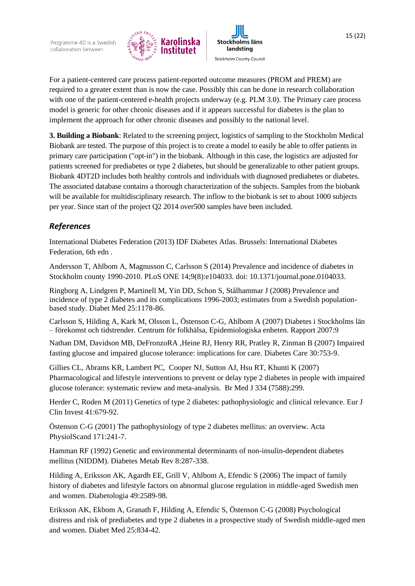



For a patient-centered care process patient-reported outcome measures (PROM and PREM) are required to a greater extent than is now the case. Possibly this can be done in research collaboration with one of the patient-centered e-health projects underway (e.g. PLM 3.0). The Primary care process model is generic for other chronic diseases and if it appears successful for diabetes is the plan to implement the approach for other chronic diseases and possibly to the national level.

**3. Building a Biobank**: Related to the screening project, logistics of sampling to the Stockholm Medical Biobank are tested. The purpose of this project is to create a model to easily be able to offer patients in primary care participation ("opt-in") in the biobank. Although in this case, the logistics are adjusted for patients screened for prediabetes or type 2 diabetes, but should be generalizable to other patient groups. Biobank 4DT2D includes both healthy controls and individuals with diagnosed prediabetes or diabetes. The associated database contains a thorough characterization of the subjects. Samples from the biobank will be available for multidisciplinary research. The inflow to the biobank is set to about 1000 subjects per year. Since start of the project Q2 2014 over500 samples have been included.

# *References*

International Diabetes Federation (2013) IDF Diabetes Atlas. Brussels: International Diabetes Federation, 6th edn .

Andersson T, Ahlbom A, Magnusson C, Carlsson S (2014) Prevalence and incidence of diabetes in Stockholm county 1990-2010. PLoS ONE 14;9(8):e104033. doi: 10.1371/journal.pone.0104033.

Ringborg A, Lindgren P, Martinell M, Yin DD, Schon S, Stålhammar J (2008) Prevalence and incidence of type 2 diabetes and its complications 1996-2003; estimates from a Swedish populationbased study. Diabet Med 25:1178-86.

Carlsson S, Hilding A, Kark M, Olsson L, Östenson C-G, Ahlbom A (2007) Diabetes i Stockholms län – förekomst och tidstrender. Centrum för folkhälsa, Epidemiologiska enheten. Rapport 2007:9

Nathan DM, Davidson MB, DeFronzoRA ,Heine RJ, Henry RR, Pratley R, Zinman B (2007) Impaired fasting glucose and impaired glucose tolerance: implications for care. Diabetes Care 30:753-9.

Gillies CL, Abrams KR, Lambert PC, Cooper NJ, Sutton AJ, Hsu RT, Khunti K (2007) Pharmacological and lifestyle interventions to prevent or delay type 2 diabetes in people with impaired glucose tolerance: systematic review and meta-analysis. Br Med J 334 (7588):299.

Herder C, Roden M (2011) Genetics of type 2 diabetes: pathophysiologic and clinical relevance. Eur J Clin Invest 41:679-92.

Östenson C-G (2001) The pathophysiology of type 2 diabetes mellitus: an overview. Acta PhysiolScand 171:241-7.

Hamman RF (1992) Genetic and environmental determinants of non-insulin-dependent diabetes mellitus (NIDDM). Diabetes Metab Rev 8:287-338.

Hilding A, Eriksson AK, Agardh EE, Grill V, Ahlbom A, Efendic S (2006) The impact of family history of diabetes and lifestyle factors on abnormal glucose regulation in middle-aged Swedish men and women. Diabetologia 49:2589-98.

Eriksson AK, Ekbom A, Granath F, Hilding A, Efendic S, Östenson C-G (2008) Psychological distress and risk of prediabetes and type 2 diabetes in a prospective study of Swedish middle-aged men and women. Diabet Med 25:834-42.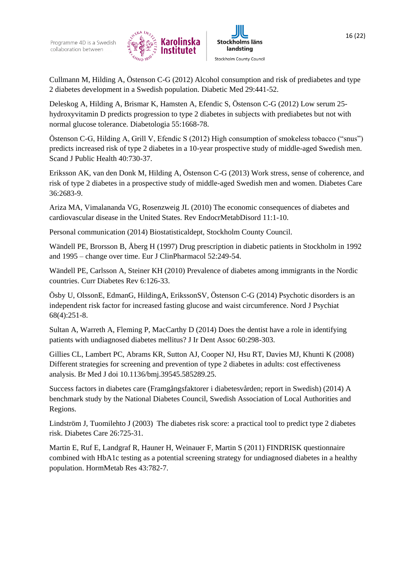



Cullmann M, Hilding A, Östenson C-G (2012) Alcohol consumption and risk of prediabetes and type 2 diabetes development in a Swedish population. Diabetic Med 29:441-52.

Deleskog A, Hilding A, Brismar K, Hamsten A, Efendic S, Östenson C-G (2012) Low serum 25 hydroxyvitamin D predicts progression to type 2 diabetes in subjects with prediabetes but not with normal glucose tolerance. Diabetologia 55:1668-78.

Östenson C-G, Hilding A, Grill V, Efendic S (2012) High consumption of smokeless tobacco ("snus") predicts increased risk of type 2 diabetes in a 10-year prospective study of middle-aged Swedish men. Scand J Public Health 40:730-37.

Eriksson AK, van den Donk M, Hilding A, Östenson C-G (2013) Work stress, sense of coherence, and risk of type 2 diabetes in a prospective study of middle-aged Swedish men and women. Diabetes Care 36:2683-9.

Ariza MA, Vimalananda VG, Rosenzweig JL (2010) The economic consequences of diabetes and cardiovascular disease in the United States. Rev EndocrMetabDisord 11:1-10.

Personal communication (2014) Biostatisticaldept, Stockholm County Council.

Wändell PE, Brorsson B, Åberg H (1997) Drug prescription in diabetic patients in Stockholm in 1992 and 1995 – change over time. Eur J ClinPharmacol 52:249-54.

Wändell PE, Carlsson A, Steiner KH (2010) Prevalence of diabetes among immigrants in the Nordic countries. Curr Diabetes Rev 6:126-33.

Ösby U, OlssonE, EdmanG, HildingA, ErikssonSV, Östenson C-G (2014) Psychotic disorders is an independent risk factor for increased fasting glucose and waist circumference. Nord J Psychiat 68(4):251-8.

Sultan A, Warreth A, Fleming P, MacCarthy D (2014) Does the dentist have a role in identifying patients with undiagnosed diabetes mellitus? J Ir Dent Assoc 60:298-303.

Gillies CL, Lambert PC, Abrams KR, Sutton AJ, Cooper NJ, Hsu RT, Davies MJ, Khunti K (2008) Different strategies for screening and prevention of type 2 diabetes in adults: cost effectiveness analysis. Br Med J doi 10.1136/bmj.39545.585289.25.

Success factors in diabetes care (Framgångsfaktorer i diabetesvården; report in Swedish) (2014) A benchmark study by the National Diabetes Council, Swedish Association of Local Authorities and Regions.

Lindström J, Tuomilehto J (2003) The diabetes risk score: a practical tool to predict type 2 diabetes risk. Diabetes Care 26:725-31.

Martin E, Ruf E, Landgraf R, Hauner H, Weinauer F, Martin S (2011) FINDRISK questionnaire combined with HbA1c testing as a potential screening strategy for undiagnosed diabetes in a healthy population. HormMetab Res 43:782-7.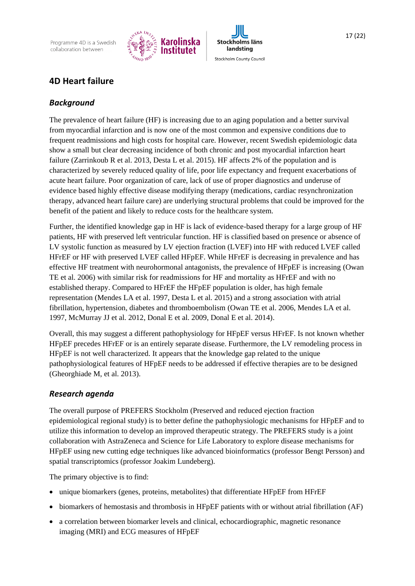Programme 4D is a Swedish collaboration between





# *Background*

The prevalence of heart failure (HF) is increasing due to an aging population and a better survival from myocardial infarction and is now one of the most common and expensive conditions due to frequent readmissions and high costs for hospital care. However, recent Swedish epidemiologic data show a small but clear decreasing incidence of both chronic and post myocardial infarction heart failure (Zarrinkoub R et al. 2013, Desta L et al. 2015). HF affects 2% of the population and is characterized by severely reduced quality of life, poor life expectancy and frequent exacerbations of acute heart failure. Poor organization of care, lack of use of proper diagnostics and underuse of evidence based highly effective disease modifying therapy (medications, cardiac resynchronization therapy, advanced heart failure care) are underlying structural problems that could be improved for the benefit of the patient and likely to reduce costs for the healthcare system.

Further, the identified knowledge gap in HF is lack of evidence-based therapy for a large group of HF patients, HF with preserved left ventricular function. HF is classified based on presence or absence of LV systolic function as measured by LV ejection fraction (LVEF) into HF with reduced LVEF called HFrEF or HF with preserved LVEF called HFpEF. While HFrEF is decreasing in prevalence and has effective HF treatment with neurohormonal antagonists, the prevalence of HFpEF is increasing (Owan TE et al. 2006) with similar risk for readmissions for HF and mortality as HFrEF and with no established therapy. Compared to HFrEF the HFpEF population is older, has high female representation (Mendes LA et al. 1997, Desta L et al. 2015) and a strong association with atrial fibrillation, hypertension, diabetes and thromboembolism (Owan TE et al. 2006, Mendes LA et al. 1997, McMurray JJ et al. 2012, Donal E et al. 2009, Donal E et al. 2014).

Overall, this may suggest a different pathophysiology for HFpEF versus HFrEF. Is not known whether HFpEF precedes HFrEF or is an entirely separate disease. Furthermore, the LV remodeling process in HFpEF is not well characterized. It appears that the knowledge gap related to the unique pathophysiological features of HFpEF needs to be addressed if effective therapies are to be designed (Gheorghiade M, et al. 2013).

## *Research agenda*

The overall purpose of PREFERS Stockholm (Preserved and reduced ejection fraction epidemiological regional study) is to better define the pathophysiologic mechanisms for HFpEF and to utilize this information to develop an improved therapeutic strategy. The PREFERS study is a joint collaboration with AstraZeneca and Science for Life Laboratory to explore disease mechanisms for HFpEF using new cutting edge techniques like advanced bioinformatics (professor Bengt Persson) and spatial transcriptomics (professor Joakim Lundeberg).

The primary objective is to find:

- unique biomarkers (genes, proteins, metabolites) that differentiate HFpEF from HFrEF
- biomarkers of hemostasis and thrombosis in HFpEF patients with or without atrial fibrillation (AF)
- a correlation between biomarker levels and clinical, echocardiographic, magnetic resonance imaging (MRI) and ECG measures of HFpEF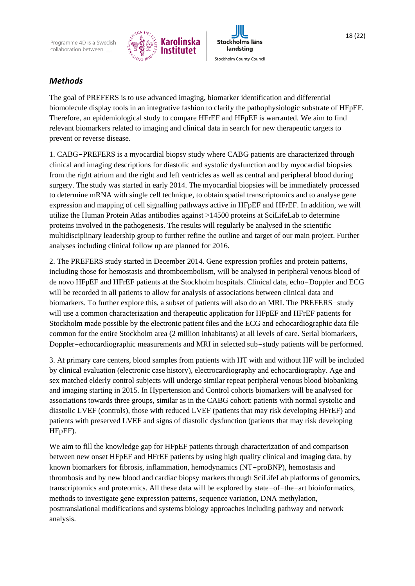



# *Methods*

The goal of PREFERS is to use advanced imaging, biomarker identification and differential biomolecule display tools in an integrative fashion to clarify the pathophysiologic substrate of HFpEF. Therefore, an epidemiological study to compare HFrEF and HFpEF is warranted. We aim to find relevant biomarkers related to imaging and clinical data in search for new therapeutic targets to prevent or reverse disease.

1. CABG-PREFERS is a myocardial biopsy study where CABG patients are characterized through clinical and imaging descriptions for diastolic and systolic dysfunction and by myocardial biopsies from the right atrium and the right and left ventricles as well as central and peripheral blood during surgery. The study was started in early 2014. The myocardial biopsies will be immediately processed to determine mRNA with single cell technique, to obtain spatial transcriptomics and to analyse gene expression and mapping of cell signalling pathways active in HFpEF and HFrEF. In addition, we will utilize the Human Protein Atlas antibodies against >14500 proteins at SciLifeLab to determine proteins involved in the pathogenesis. The results will regularly be analysed in the scientific multidisciplinary leadership group to further refine the outline and target of our main project. Further analyses including clinical follow up are planned for 2016.

2. The PREFERS study started in December 2014. Gene expression profiles and protein patterns, including those for hemostasis and thromboembolism, will be analysed in peripheral venous blood of de novo HFpEF and HFrEF patients at the Stockholm hospitals. Clinical data, echo-Doppler and ECG will be recorded in all patients to allow for analysis of associations between clinical data and biomarkers. To further explore this, a subset of patients will also do an MRI. The PREFERS-study will use a common characterization and therapeutic application for HFpEF and HFrEF patients for Stockholm made possible by the electronic patient files and the ECG and echocardiographic data file common for the entire Stockholm area (2 million inhabitants) at all levels of care. Serial biomarkers, Doppler-echocardiographic measurements and MRI in selected sub-study patients will be performed.

3. At primary care centers, blood samples from patients with HT with and without HF will be included by clinical evaluation (electronic case history), electrocardiography and echocardiography. Age and sex matched elderly control subjects will undergo similar repeat peripheral venous blood biobanking and imaging starting in 2015. In Hypertension and Control cohorts biomarkers will be analysed for associations towards three groups, similar as in the CABG cohort: patients with normal systolic and diastolic LVEF (controls), those with reduced LVEF (patients that may risk developing HFrEF) and patients with preserved LVEF and signs of diastolic dysfunction (patients that may risk developing HFpEF).

We aim to fill the knowledge gap for HFpEF patients through characterization of and comparison between new onset HFpEF and HFrEF patients by using high quality clinical and imaging data, by known biomarkers for fibrosis, inflammation, hemodynamics (NT-proBNP), hemostasis and thrombosis and by new blood and cardiac biopsy markers through SciLifeLab platforms of genomics, transcriptomics and proteomics. All these data will be explored by state-of-the-art bioinformatics, methods to investigate gene expression patterns, sequence variation, DNA methylation, posttranslational modifications and systems biology approaches including pathway and network analysis.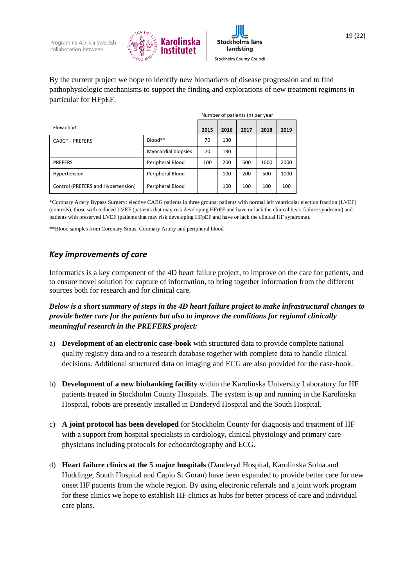



By the current project we hope to identify new biomarkers of disease progression and to find pathophysiologic mechanisms to support the finding and explorations of new treatment regimens in particular for HFpEF.

|                                    |                     | Number of patients (n) per year |      |      |      |      |
|------------------------------------|---------------------|---------------------------------|------|------|------|------|
| Flow chart                         |                     | 2015                            | 2016 | 2017 | 2018 | 2019 |
| CABG* - PREFERS                    | Blood**             | 70                              | 130  |      |      |      |
|                                    | Myocardial biopsies | 70                              | 130  |      |      |      |
| <b>PREFERS</b>                     | Peripheral Blood    | 100                             | 200  | 500  | 1000 | 2000 |
| Hypertension                       | Peripheral Blood    |                                 | 100  | 200  | 500  | 1000 |
| Control (PREFERS and Hypertension) | Peripheral Blood    |                                 | 100  | 100  | 100  | 100  |

\*Coronary Artery Bypass Surgery: elective CABG patients in three groups: patients with normal left ventricular ejection fraction (LVEF) (controls), those with reduced LVEF (patients that may risk developing HFrEF and have or lack the clinical heart failure syndrome) and patients with preserved LVEF (patients that may risk developing HFpEF and have or lack the clinical HF syndrome).

\*\*Blood samples from Coronary Sinus, Coronary Artery and peripheral blood

## *Key improvements of care*

Informatics is a key component of the 4D heart failure project, to improve on the care for patients, and to ensure novel solution for capture of information, to bring together information from the different sources both for research and for clinical care.

*Below is a short summary of steps in the 4D heart failure project to make infrastructural changes to provide better care for the patients but also to improve the conditions for regional clinically meaningful research in the PREFERS project:*

- a) **Development of an electronic case-book** with structured data to provide complete national quality registry data and to a research database together with complete data to handle clinical decisions. Additional structured data on imaging and ECG are also provided for the case-book.
- b) **Development of a new biobanking facility** within the Karolinska University Laboratory for HF patients treated in Stockholm County Hospitals. The system is up and running in the Karolinska Hospital, robots are presently installed in Danderyd Hospital and the South Hospital.
- c) **A joint protocol has been developed** for Stockholm County for diagnosis and treatment of HF with a support from hospital specialists in cardiology, clinical physiology and primary care physicians including protocols for echocardiography and ECG.
- d) **Heart failure clinics at the 5 major hospitals** (Danderyd Hospital, Karolinska Solna and Huddinge, South Hospital and Capio St Goran) have been expanded to provide better care for new onset HF patients from the whole region. By using electronic referrals and a joint work program for these clinics we hope to establish HF clinics as hubs for better process of care and individual care plans.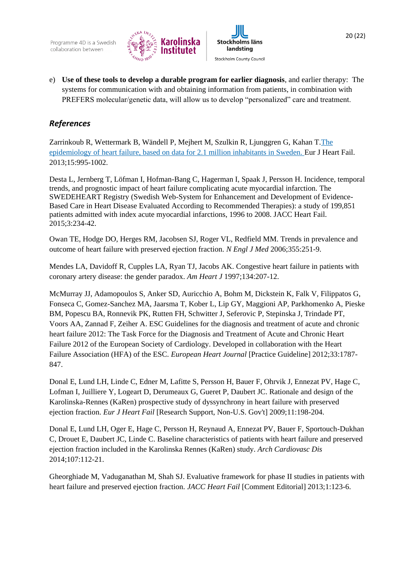



e) **Use of these tools to develop a durable program for earlier diagnosis**, and earlier therapy: The systems for communication with and obtaining information from patients, in combination with PREFERS molecular/genetic data, will allow us to develop "personalized" care and treatment.

## *References*

Zarrinkoub R, Wettermark B, Wändell P, Mejhert M, Szulkin R, Ljunggren G, Kahan T[.The](http://www-ncbi-nlm-nih-gov.proxy.kib.ki.se/pubmed/23645498)  [epidemiology of heart failure, based on data for 2.1 million inhabitants in Sweden.](http://www-ncbi-nlm-nih-gov.proxy.kib.ki.se/pubmed/23645498) Eur J Heart Fail. 2013;15:995-1002.

Desta L, Jernberg T, Löfman I, Hofman-Bang C, Hagerman I, Spaak J, Persson H. Incidence, temporal trends, and prognostic impact of heart failure complicating acute myocardial infarction. The SWEDEHEART Registry (Swedish Web-System for Enhancement and Development of Evidence-Based Care in Heart Disease Evaluated According to Recommended Therapies): a study of 199,851 patients admitted with index acute myocardial infarctions, 1996 to 2008. JACC Heart Fail. 2015;3:234-42.

Owan TE, Hodge DO, Herges RM, Jacobsen SJ, Roger VL, Redfield MM. Trends in prevalence and outcome of heart failure with preserved ejection fraction. *N Engl J Med* 2006;355:251-9.

Mendes LA, Davidoff R, Cupples LA, Ryan TJ, Jacobs AK. Congestive heart failure in patients with coronary artery disease: the gender paradox. *Am Heart J* 1997;134:207-12.

McMurray JJ, Adamopoulos S, Anker SD, Auricchio A, Bohm M, Dickstein K, Falk V, Filippatos G, Fonseca C, Gomez-Sanchez MA, Jaarsma T, Kober L, Lip GY, Maggioni AP, Parkhomenko A, Pieske BM, Popescu BA, Ronnevik PK, Rutten FH, Schwitter J, Seferovic P, Stepinska J, Trindade PT, Voors AA, Zannad F, Zeiher A. ESC Guidelines for the diagnosis and treatment of acute and chronic heart failure 2012: The Task Force for the Diagnosis and Treatment of Acute and Chronic Heart Failure 2012 of the European Society of Cardiology. Developed in collaboration with the Heart Failure Association (HFA) of the ESC. *European Heart Journal* [Practice Guideline] 2012;33:1787- 847.

Donal E, Lund LH, Linde C, Edner M, Lafitte S, Persson H, Bauer F, Ohrvik J, Ennezat PV, Hage C, Lofman I, Juilliere Y, Logeart D, Derumeaux G, Gueret P, Daubert JC. Rationale and design of the Karolinska-Rennes (KaRen) prospective study of dyssynchrony in heart failure with preserved ejection fraction. *Eur J Heart Fail* [Research Support, Non-U.S. Gov't] 2009;11:198-204.

Donal E, Lund LH, Oger E, Hage C, Persson H, Reynaud A, Ennezat PV, Bauer F, Sportouch-Dukhan C, Drouet E, Daubert JC, Linde C. Baseline characteristics of patients with heart failure and preserved ejection fraction included in the Karolinska Rennes (KaRen) study. *Arch Cardiovasc Dis* 2014;107:112-21.

Gheorghiade M, Vaduganathan M, Shah SJ. Evaluative framework for phase II studies in patients with heart failure and preserved ejection fraction. *JACC Heart Fail* [Comment Editorial] 2013;1:123-6.